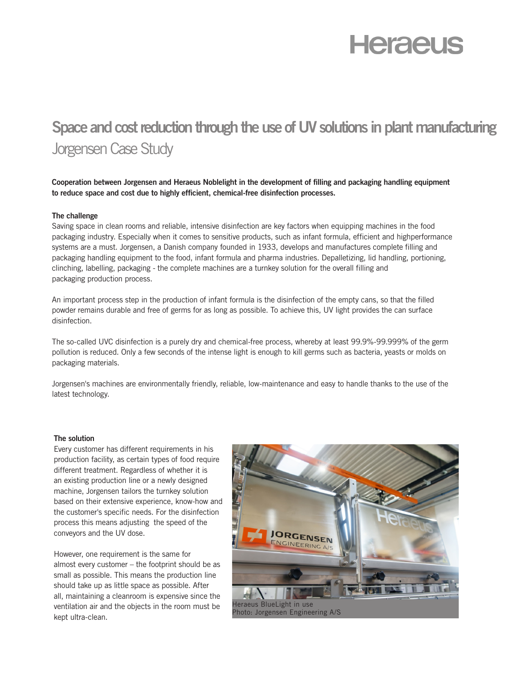# **Heraeus**

# **Space and cost reduction through the use of UV solutions in plant manufacturing**  Jorgensen Case Study

**Cooperation between Jorgensen and Heraeus Noblelight in the development of filling and packaging handling equipment to reduce space and cost due to highly efficient, chemical-free disinfection processes.** 

#### **The challenge**

Saving space in clean rooms and reliable, intensive disinfection are key factors when equipping machines in the food packaging industry. Especially when it comes to sensitive products, such as infant formula, efficient and highperformance systems are a must. Jorgensen, a Danish company founded in 1933, develops and manufactures complete filling and packaging handling equipment to the food, infant formula and pharma industries. Depalletizing, lid handling, portioning, clinching, labelling, packaging - the complete machines are a turnkey solution for the overall filling and packaging production process.

An important process step in the production of infant formula is the disinfection of the empty cans, so that the filled powder remains durable and free of germs for as long as possible. To achieve this, UV light provides the can surface disinfection.

The so-called UVC disinfection is a purely dry and chemical-free process, whereby at least 99.9%-99.999% of the germ pollution is reduced. Only a few seconds of the intense light is enough to kill germs such as bacteria, yeasts or molds on packaging materials.

Jorgensen's machines are environmentally friendly, reliable, low-maintenance and easy to handle thanks to the use of the latest technology.

#### **The solution**

Every customer has different requirements in his production facility, as certain types of food require different treatment. Regardless of whether it is an existing production line or a newly designed machine, Jorgensen tailors the turnkey solution based on their extensive experience, know-how and the customer's specific needs. For the disinfection process this means adjusting the speed of the conveyors and the UV dose.

However, one requirement is the same for almost every customer – the footprint should be as small as possible. This means the production line should take up as little space as possible. After all, maintaining a cleanroom is expensive since the ventilation air and the objects in the room must be kept ultra-clean.